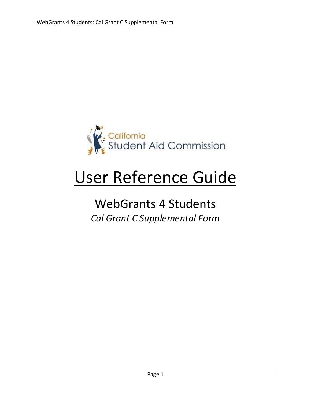

# User Reference Guide

# WebGrants 4 Students *Cal Grant C Supplemental Form*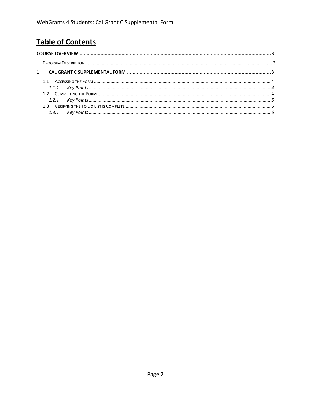# **Table of Contents**

| $1 \quad$ |  |
|-----------|--|
|           |  |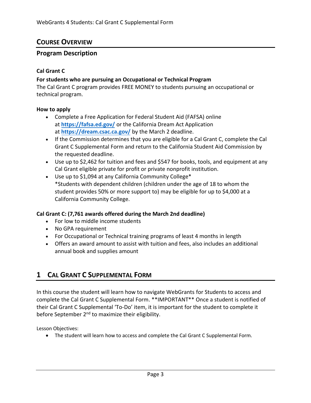# <span id="page-2-0"></span>**COURSE OVERVIEW**

## <span id="page-2-1"></span>**Program Description**

#### **Cal Grant C**

#### **For students who are pursuing an Occupational or Technical Program**

The Cal Grant C program provides FREE MONEY to students pursuing an occupational or technical program.

#### **How to apply**

- Complete a Free Application for Federal Student Aid (FAFSA) online at **<https://fafsa.ed.gov/>** or the California Dream Act Application at **<https://dream.csac.ca.gov/>** by the March 2 deadline.
- If the Commission determines that you are eligible for a Cal Grant C, complete the Cal Grant C Supplemental Form and return to the California Student Aid Commission by the requested deadline.
- Use up to \$2,462 for tuition and fees and \$547 for books, tools, and equipment at any Cal Grant eligible private for profit or private nonprofit institution.
- Use up to \$1,094 at any California Community College\* \*Students with dependent children (children under the age of 18 to whom the student provides 50% or more support to) may be eligible for up to \$4,000 at a California Community College.

#### **Cal Grant C: (7,761 awards offered during the March 2nd deadline)**

- For low to middle income students
- No GPA requirement
- For Occupational or Technical training programs of least 4 months in length
- Offers an award amount to assist with tuition and fees, also includes an additional annual book and supplies amount

# **1 CAL GRANT C SUPPLEMENTAL FORM**

In this course the student will learn how to navigate WebGrants for Students to access and complete the Cal Grant C Supplemental Form. \*\*IMPORTANT\*\* Once a student is notified of their Cal Grant C Supplemental 'To-Do' item, it is important for the student to complete it before September 2<sup>nd</sup> to maximize their eligibility.

Lesson Objectives:

• The student will learn how to access and complete the Cal Grant C Supplemental Form.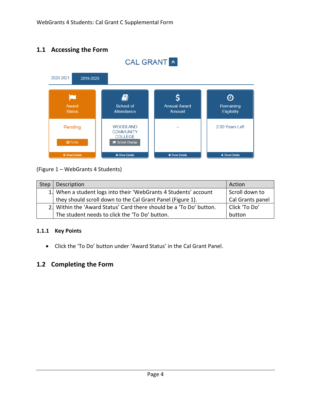# **1.1 Accessing the Form**



# (Figure 1 – WebGrants 4 Students)

| Step | Description                                                         | Action           |
|------|---------------------------------------------------------------------|------------------|
|      | 1. When a student logs into their 'WebGrants 4 Students' account    | Scroll down to   |
|      | they should scroll down to the Cal Grant Panel (Figure 1).          | Cal Grants panel |
|      | 2. Within the 'Award Status' Card there should be a 'To Do' button. | Click 'To Do'    |
|      | The student needs to click the 'To Do' button.                      | button           |

#### <span id="page-3-0"></span>**1.1.1 Key Points**

• Click the 'To Do' button under 'Award Status' in the Cal Grant Panel.

# **1.2 Completing the Form**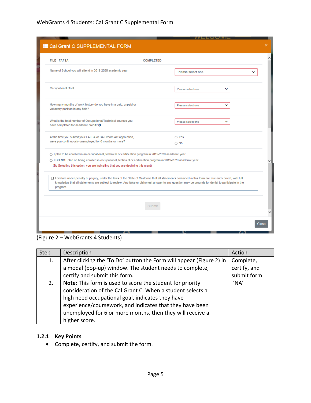| <b>FILE - FAFSA</b>                                                                                                                                                                                                                                                                                                 | <b>COMPLETED</b>                                                                                                                                                                                                                                                                                                 |  |
|---------------------------------------------------------------------------------------------------------------------------------------------------------------------------------------------------------------------------------------------------------------------------------------------------------------------|------------------------------------------------------------------------------------------------------------------------------------------------------------------------------------------------------------------------------------------------------------------------------------------------------------------|--|
| Name of School you will attend in 2019-2020 academic year                                                                                                                                                                                                                                                           | Please select one                                                                                                                                                                                                                                                                                                |  |
| Occupational Goal                                                                                                                                                                                                                                                                                                   | Please select one<br>◡                                                                                                                                                                                                                                                                                           |  |
| How many months of work history do you have in a paid, unpaid or<br>voluntary position in any field?                                                                                                                                                                                                                | ◡<br>Please select one                                                                                                                                                                                                                                                                                           |  |
| What is the total number of Occupational/Technical courses you<br>have completed for academic credit? @                                                                                                                                                                                                             | $\checkmark$<br>Please select one                                                                                                                                                                                                                                                                                |  |
| At the time you submit your FAFSA or CA Dream Act application,<br>were you continuously unemployed for 6 months or more?                                                                                                                                                                                            | O Yes<br>$\bigcirc$ No                                                                                                                                                                                                                                                                                           |  |
| ○ I plan to be enrolled in an occupational, technical or certification program in 2019-2020 academic year.<br>O I DO NOT plan on being enrolled in occupational, technical or certification program in 2019-2020 academic year.<br>(By Selecting this option, you are indicating that you are declining this grant) |                                                                                                                                                                                                                                                                                                                  |  |
| program.                                                                                                                                                                                                                                                                                                            | □ I declare under penalty of perjury, under the laws of the State of California that all statements contained in this form are true and correct, with full<br>knowledge that all statements are subject to review. Any false or dishonest answer to any question may be grounds for denial to participate in the |  |
|                                                                                                                                                                                                                                                                                                                     | Submit                                                                                                                                                                                                                                                                                                           |  |

(Figure 2 – WebGrants 4 Students)

| Step | Description                                                          | Action       |
|------|----------------------------------------------------------------------|--------------|
| 1.   | After clicking the 'To Do' button the Form will appear (Figure 2) in | Complete,    |
|      | a modal (pop-up) window. The student needs to complete,              | certify, and |
|      | certify and submit this form.                                        | submit form  |
| 2.   | Note: This form is used to score the student for priority            | 'NA'         |
|      | consideration of the Cal Grant C. When a student selects a           |              |
|      | high need occupational goal, indicates they have                     |              |
|      | experience/coursework, and indicates that they have been             |              |
|      | unemployed for 6 or more months, then they will receive a            |              |
|      | higher score.                                                        |              |

## <span id="page-4-0"></span>**1.2.1 Key Points**

• Complete, certify, and submit the form.